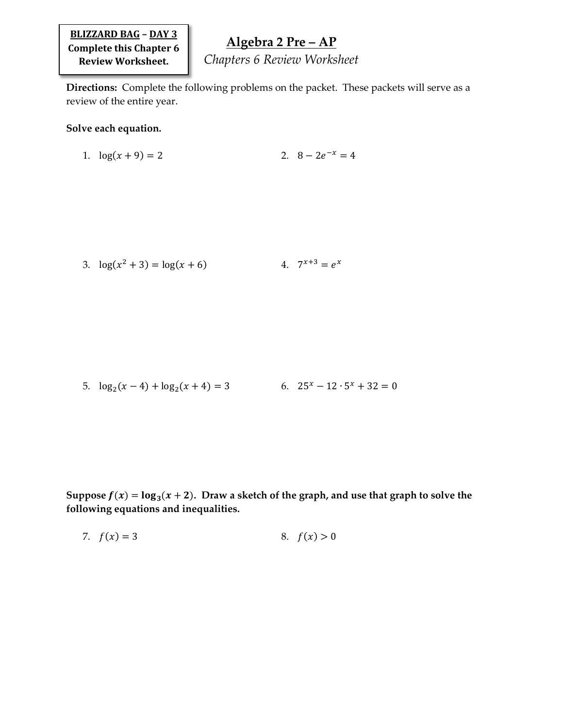**BLIZZARD BAG – DAY 3 Complete this Chapter 6 Review Worksheet.**

## **Algebra 2 Pre – AP**

*Chapters 6 Review Worksheet*

**Directions:** Complete the following problems on the packet. These packets will serve as a review of the entire year.

## **Solve each equation.**

1. 
$$
\log(x+9) = 2
$$
 2.  $8 - 2e^{-x} = 4$ 

3. 
$$
\log(x^2 + 3) = \log(x + 6)
$$
 4.  $7^{x+3} = e^x$ 

5. 
$$
\log_2(x-4) + \log_2(x+4) = 3
$$
 6.  $25^x - 12 \cdot 5^x + 32 = 0$ 

Suppose  $f(x) = \log_3(x + 2)$ . Draw a sketch of the graph, and use that graph to solve the **following equations and inequalities.**

7. 
$$
f(x) = 3
$$
 8.  $f(x) > 0$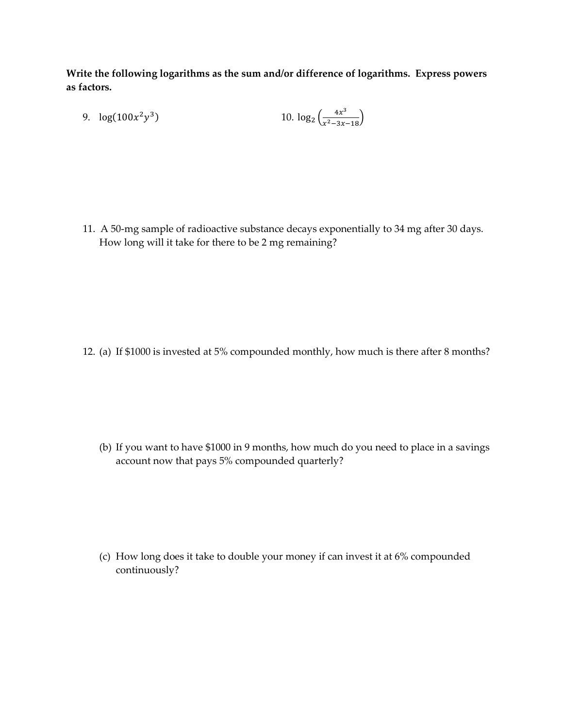**Write the following logarithms as the sum and/or difference of logarithms. Express powers as factors.**

9. 
$$
\log(100x^2y^3)
$$
 10.  $\log_2\left(\frac{4x^3}{x^2-3x-18}\right)$ 

11. A 50-mg sample of radioactive substance decays exponentially to 34 mg after 30 days. How long will it take for there to be 2 mg remaining?

12. (a) If \$1000 is invested at 5% compounded monthly, how much is there after 8 months?

(b) If you want to have \$1000 in 9 months, how much do you need to place in a savings account now that pays 5% compounded quarterly?

(c) How long does it take to double your money if can invest it at 6% compounded continuously?